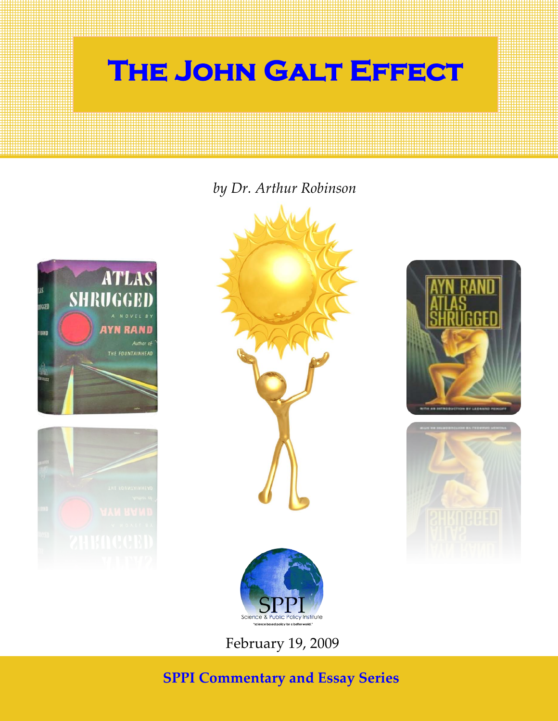

### *by Dr. Arthur Robinson*











February 19, 2009

## **SPPI Commentary and Essay Series**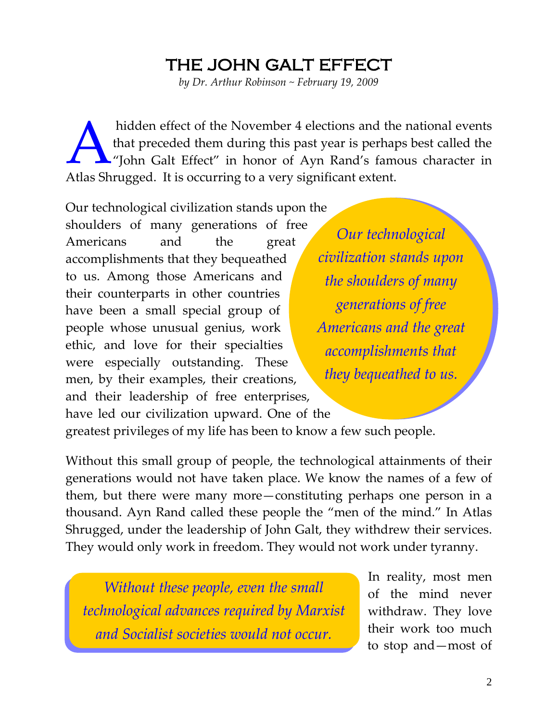# the john galt effect

*by Dr. Arthur Robinson ~ February 19, 2009*

hidden effect of the November 4 elections and the national events that preceded them during this past year is perhaps best called the "John Galt Effect" in honor of Ayn Rand's famous character in Atlas Shrugged. It is occurring to a very significant extent. A

Our technological civilization stands upon the shoulders of many generations of free Americans and the great accomplishments that they bequeathed to us. Among those Americans and their counterparts in other countries have been a small special group of people whose unusual genius, work ethic, and love for their specialties were especially outstanding. These men, by their examples, their creations, and their leadership of free enterprises, have led our civilization upward. One of the

*Our technological civilization stands upon the shoulders of many generations of free Americans and the great accomplishments that they bequeathed to us.*

greatest privileges of my life has been to know a few such people.

Without this small group of people, the technological attainments of their generations would not have taken place. We know the names of a few of them, but there were many more—constituting perhaps one person in a thousand. Ayn Rand called these people the "men of the mind." In Atlas Shrugged, under the leadership of John Galt, they withdrew their services. They would only work in freedom. They would not work under tyranny.

*Without these people, even the small technological advances required by Marxist and Socialist societies would not occur.*

In reality, most men of the mind never withdraw. They love their work too much to stop and—most of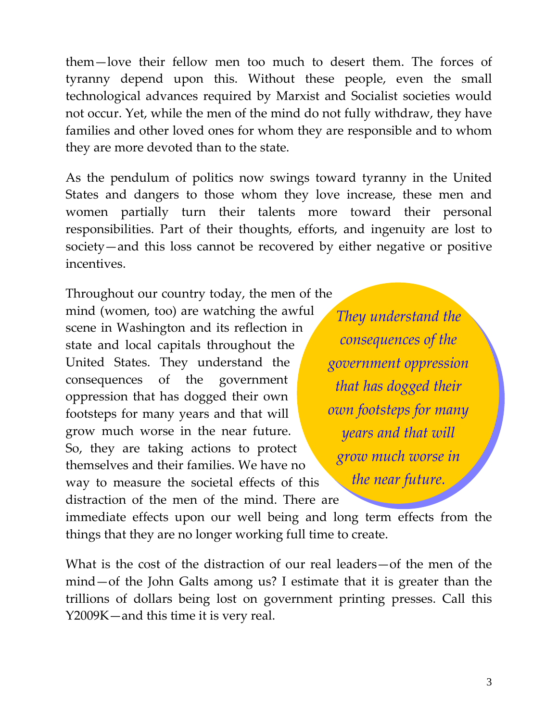them—love their fellow men too much to desert them. The forces of tyranny depend upon this. Without these people, even the small technological advances required by Marxist and Socialist societies would not occur. Yet, while the men of the mind do not fully withdraw, they have families and other loved ones for whom they are responsible and to whom they are more devoted than to the state.

As the pendulum of politics now swings toward tyranny in the United States and dangers to those whom they love increase, these men and women partially turn their talents more toward their personal responsibilities. Part of their thoughts, efforts, and ingenuity are lost to society—and this loss cannot be recovered by either negative or positive incentives.

Throughout our country today, the men of the mind (women, too) are watching the awful scene in Washington and its reflection in state and local capitals throughout the United States. They understand the consequences of the government oppression that has dogged their own footsteps for many years and that will grow much worse in the near future. So, they are taking actions to protect themselves and their families. We have no way to measure the societal effects of this distraction of the men of the mind. There are

*They understand the consequences of the government oppression that has dogged their own footsteps for many years and that will grow much worse in the near future.*

immediate effects upon our well being and long term effects from the things that they are no longer working full time to create.

What is the cost of the distraction of our real leaders—of the men of the mind—of the John Galts among us? I estimate that it is greater than the trillions of dollars being lost on government printing presses. Call this Y2009K—and this time it is very real.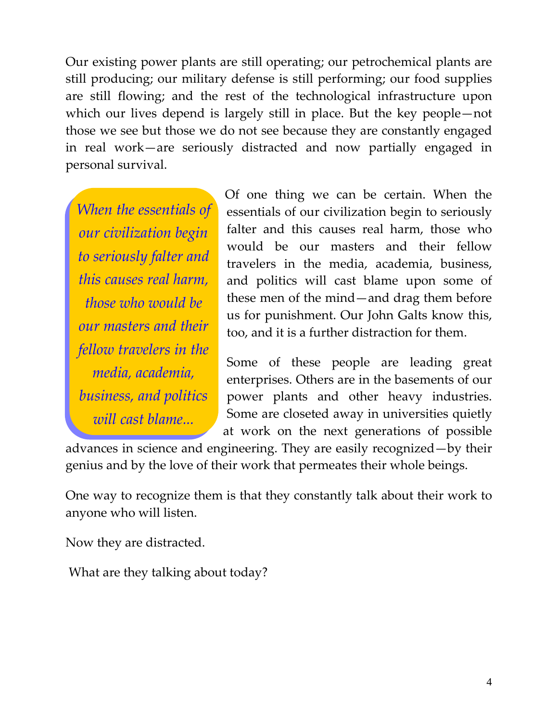Our existing power plants are still operating; our petrochemical plants are still producing; our military defense is still performing; our food supplies are still flowing; and the rest of the technological infrastructure upon which our lives depend is largely still in place. But the key people—not those we see but those we do not see because they are constantly engaged in real work—are seriously distracted and now partially engaged in personal survival.

*When the essentials of our civilization begin to seriously falter and this causes real harm, those who would be our masters and their fellow travelers in the media, academia, business, and politics will cast blame...*

Of one thing we can be certain. When the essentials of our civilization begin to seriously falter and this causes real harm, those who would be our masters and their fellow travelers in the media, academia, business, and politics will cast blame upon some of these men of the mind—and drag them before us for punishment. Our John Galts know this, too, and it is a further distraction for them.

Some of these people are leading great enterprises. Others are in the basements of our power plants and other heavy industries. Some are closeted away in universities quietly at work on the next generations of possible

advances in science and engineering. They are easily recognized—by their genius and by the love of their work that permeates their whole beings.

One way to recognize them is that they constantly talk about their work to anyone who will listen.

Now they are distracted.

What are they talking about today?